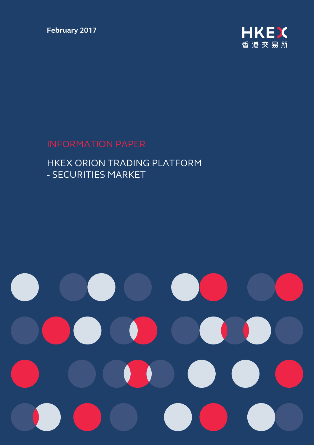**February 2017** 



## INFORMATION PAPER

### HKEX ORION TRADING PLATFORM - SECURITIES MARKET

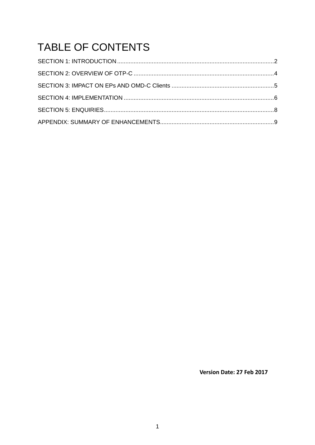# TABLE OF CONTENTS

Version Date: 27 Feb 2017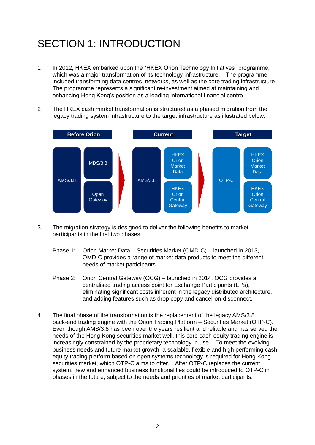## <span id="page-2-0"></span>SECTION 1: INTRODUCTION

- 1 In 2012, HKEX embarked upon the "HKEX Orion Technology Initiatives" programme, which was a major transformation of its technology infrastructure. The programme included transforming data centres, networks, as well as the core trading infrastructure. The programme represents a significant re-investment aimed at maintaining and enhancing Hong Kong's position as a leading international financial centre.
- 2 The HKEX cash market transformation is structured as a phased migration from the legacy trading system infrastructure to the target infrastructure as illustrated below:



- 3 The migration strategy is designed to deliver the following benefits to market participants in the first two phases:
	- Phase 1: Orion Market Data Securities Market (OMD-C) launched in 2013, OMD-C provides a range of market data products to meet the different needs of market participants.
	- Phase 2: Orion Central Gateway (OCG) launched in 2014, OCG provides a centralised trading access point for Exchange Participants (EPs), eliminating significant costs inherent in the legacy distributed architecture, and adding features such as drop copy and cancel-on-disconnect.
- 4 The final phase of the transformation is the replacement of the legacy AMS/3.8 back-end trading engine with the Orion Trading Platform – Securities Market (OTP-C). Even though AMS/3.8 has been over the years resilient and reliable and has served the needs of the Hong Kong securities market well, this core cash equity trading engine is increasingly constrained by the proprietary technology in use. To meet the evolving business needs and future market growth, a scalable, flexible and high performing cash equity trading platform based on open systems technology is required for Hong Kong securities market, which OTP-C aims to offer. After OTP-C replaces the current system, new and enhanced business functionalities could be introduced to OTP-C in phases in the future, subject to the needs and priorities of market participants.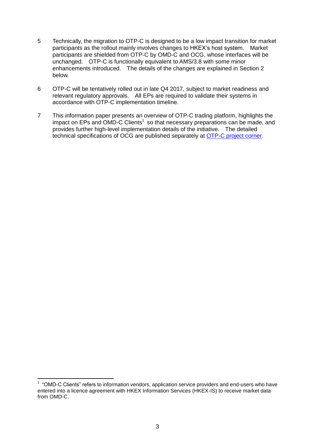- 5 Technically, the migration to OTP-C is designed to be a low impact transition for market participants as the rollout mainly involves changes to HKEX's host system. Market participants are shielded from OTP-C by OMD-C and OCG, whose interfaces will be unchanged. OTP-C is functionally equivalent to AMS/3.8 with some minor enhancements introduced. The details of the changes are explained in Section 2 below.
- 6 OTP-C will be tentatively rolled out in late Q4 2017, subject to market readiness and relevant regulatory approvals. All EPs are required to validate their systems in accordance with OTP-C implementation timeline.
- 7 This information paper presents an overview of OTP-C trading platform, highlights the impact on EPs and OMD-C Clients<sup>1</sup> so that necessary preparations can be made, and provides further high-level implementation details of the initiative. The detailed technical specifications of OCG are published separately at [OTP-C project corner.](http://www.hkex.com.hk/eng/market/sec_tradinfra/otpc/otpc.htm)

 $\overline{\phantom{a}}$ <sup>1</sup> "OMD-C Clients" refers to information vendors, application service providers and end-users who have entered into a licence agreement with HKEX Information Services (HKEX-IS) to receive market data from OMD-C.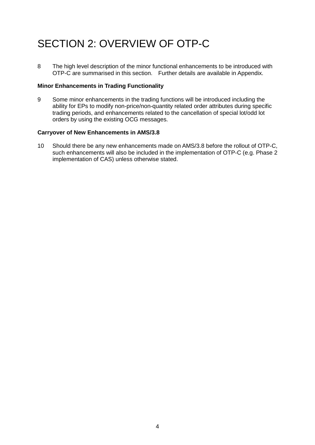## <span id="page-4-0"></span>SECTION 2: OVERVIEW OF OTP-C

8 The high level description of the minor functional enhancements to be introduced with OTP-C are summarised in this section. Further details are available in Appendix.

#### **Minor Enhancements in Trading Functionality**

9 Some minor enhancements in the trading functions will be introduced including the ability for EPs to modify non-price/non-quantity related order attributes during specific trading periods, and enhancements related to the cancellation of special lot/odd lot orders by using the existing OCG messages.

#### **Carryover of New Enhancements in AMS/3.8**

10 Should there be any new enhancements made on AMS/3.8 before the rollout of OTP-C, such enhancements will also be included in the implementation of OTP-C (e.g. Phase 2 implementation of CAS) unless otherwise stated.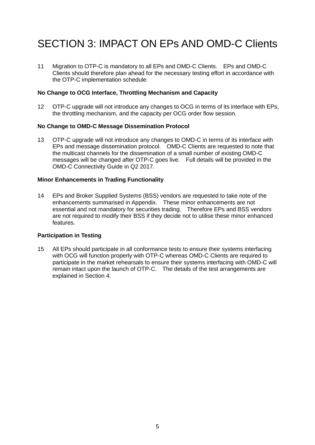## <span id="page-5-0"></span>SECTION 3: IMPACT ON EPs AND OMD-C Clients

11 Migration to OTP-C is mandatory to all EPs and OMD-C Clients. EPs and OMD-C Clients should therefore plan ahead for the necessary testing effort in accordance with the OTP-C implementation schedule.

#### **No Change to OCG Interface, Throttling Mechanism and Capacity**

12 OTP-C upgrade will not introduce any changes to OCG in terms of its interface with EPs, the throttling mechanism, and the capacity per OCG order flow session.

#### **No Change to OMD-C Message Dissemination Protocol**

13 OTP-C upgrade will not introduce any changes to OMD-C in terms of its interface with EPs and message dissemination protocol. OMD-C Clients are requested to note that the multicast channels for the dissemination of a small number of existing OMD-C messages will be changed after OTP-C goes live. Full details will be provided in the OMD-C Connectivity Guide in Q2 2017.

#### **Minor Enhancements in Trading Functionality**

14 EPs and Broker Supplied Systems (BSS) vendors are requested to take note of the enhancements summarised in Appendix. These minor enhancements are not essential and not mandatory for securities trading. Therefore EPs and BSS vendors are not required to modify their BSS if they decide not to utilise these minor enhanced features.

#### **Participation in Testing**

15 All EPs should participate in all conformance tests to ensure their systems interfacing with OCG will function properly with OTP-C whereas OMD-C Clients are required to participate in the market rehearsals to ensure their systems interfacing with OMD-C will remain intact upon the launch of OTP-C. The details of the test arrangements are explained in Section 4.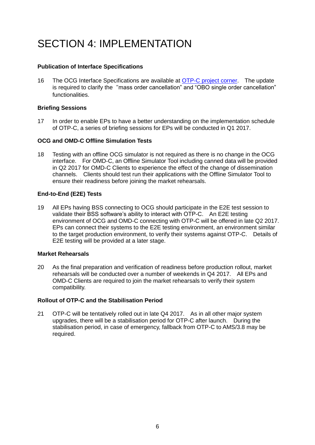## <span id="page-6-0"></span>SECTION 4: IMPI EMENTATION

#### **Publication of Interface Specifications**

16 The OCG Interface Specifications are available at [OTP-C project corner.](http://www.hkex.com.hk/eng/market/sec_tradinfra/otpc/otpc.htm) The update is required to clarify the "mass order cancellation" and "OBO single order cancellation" functionalities.

#### **Briefing Sessions**

17 In order to enable EPs to have a better understanding on the implementation schedule of OTP-C, a series of briefing sessions for EPs will be conducted in Q1 2017.

#### **OCG and OMD-C Offline Simulation Tests**

18 Testing with an offline OCG simulator is not required as there is no change in the OCG interface. For OMD-C, an Offline Simulator Tool including canned data will be provided in Q2 2017 for OMD-C Clients to experience the effect of the change of dissemination channels. Clients should test run their applications with the Offline Simulator Tool to ensure their readiness before joining the market rehearsals.

#### **End-to-End (E2E) Tests**

19 All EPs having BSS connecting to OCG should participate in the E2E test session to validate their BSS software's ability to interact with OTP-C. An E2E testing environment of OCG and OMD-C connecting with OTP-C will be offered in late Q2 2017. EPs can connect their systems to the E2E testing environment, an environment similar to the target production environment, to verify their systems against OTP-C. Details of E2E testing will be provided at a later stage.

#### **Market Rehearsals**

20 As the final preparation and verification of readiness before production rollout, market rehearsals will be conducted over a number of weekends in Q4 2017. All EPs and OMD-C Clients are required to join the market rehearsals to verify their system compatibility.

#### **Rollout of OTP-C and the Stabilisation Period**

21 OTP-C will be tentatively rolled out in late Q4 2017. As in all other major system upgrades, there will be a stabilisation period for OTP-C after launch. During the stabilisation period, in case of emergency, fallback from OTP-C to AMS/3.8 may be required.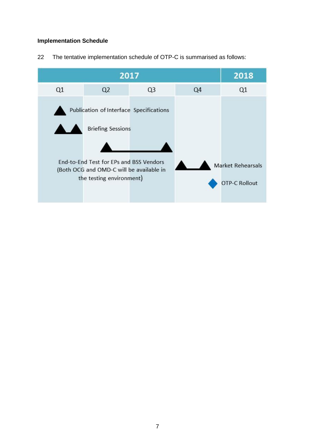#### **Implementation Schedule**

The tentative implementation schedule of OTP-C is summarised as follows:

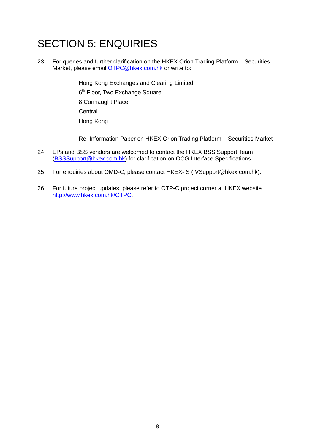## <span id="page-8-0"></span>SECTION 5: ENQUIRIES

23 For queries and further clarification on the HKEX Orion Trading Platform – Securities Market, please email [OTPC@hkex.com.hk](mailto:OTPC@hkex.com.hk) or write to:

> Hong Kong Exchanges and Clearing Limited 6<sup>th</sup> Floor, Two Exchange Square 8 Connaught Place **Central** Hong Kong

Re: Information Paper on HKEX Orion Trading Platform – Securities Market

- 24 EPs and BSS vendors are welcomed to contact the HKEX BSS Support Team [\(BSSSupport@hkex.com.hk\)](mailto:BSSSupport@hkex.com.hk) for clarification on OCG Interface Specifications.
- 25 For enquiries about OMD-C, please contact HKEX-IS (IVSupport@hkex.com.hk).
- 26 For future project updates, please refer to OTP-C project corner at HKEX website [http://www.hkex.com.hk/OTPC.](http://www.hkex.com.hk/OTPC)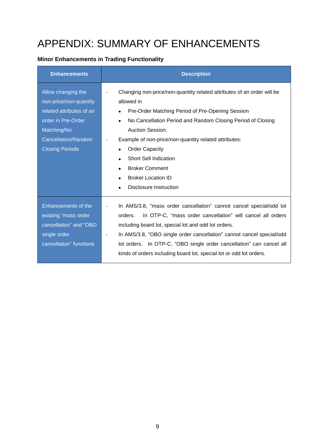## <span id="page-9-0"></span>APPENDIX: SUMMARY OF ENHANCEMENTS

#### **Minor Enhancements in Trading Functionality**

| <b>Enhancements</b>                                                                                                                                            | <b>Description</b>                                                                                                                                                                                                                                                                                                                                                                                                                                                                                                                |
|----------------------------------------------------------------------------------------------------------------------------------------------------------------|-----------------------------------------------------------------------------------------------------------------------------------------------------------------------------------------------------------------------------------------------------------------------------------------------------------------------------------------------------------------------------------------------------------------------------------------------------------------------------------------------------------------------------------|
| Allow changing the<br>non-price/non-quantity<br>related attributes of an<br>order in Pre-Order<br>Matching/No<br>Cancellation/Random<br><b>Closing Periods</b> | Changing non-price/non-quantity related attributes of an order will be<br>$\overline{\phantom{a}}$<br>allowed in<br>Pre-Order Matching Period of Pre-Opening Session<br>$\bullet$<br>No Cancellation Period and Random Closing Period of Closing<br>$\bullet$<br>Auction Session.<br>Example of non-price/non-quantity related attributes:<br><b>Order Capacity</b><br>$\bullet$<br><b>Short Sell Indication</b><br><b>Broker Comment</b><br>$\bullet$<br><b>Broker Location ID</b><br>$\bullet$<br><b>Disclosure Instruction</b> |
| Enhancements of the<br>existing "mass order<br>cancellation" and "OBO<br>single order<br>cancellation" functions                                               | In AMS/3.8, "mass order cancellation" cannot cancel special/odd lot<br>$\overline{\phantom{a}}$<br>In OTP-C, "mass order cancellation" will cancel all orders<br>orders.<br>including board lot, special lot and odd lot orders.<br>In AMS/3.8, "OBO single order cancellation" cannot cancel special/odd<br>lot orders. In OTP-C, "OBO single order cancellation" can cancel all<br>kinds of orders including board lot, special lot or odd lot orders.                                                                          |